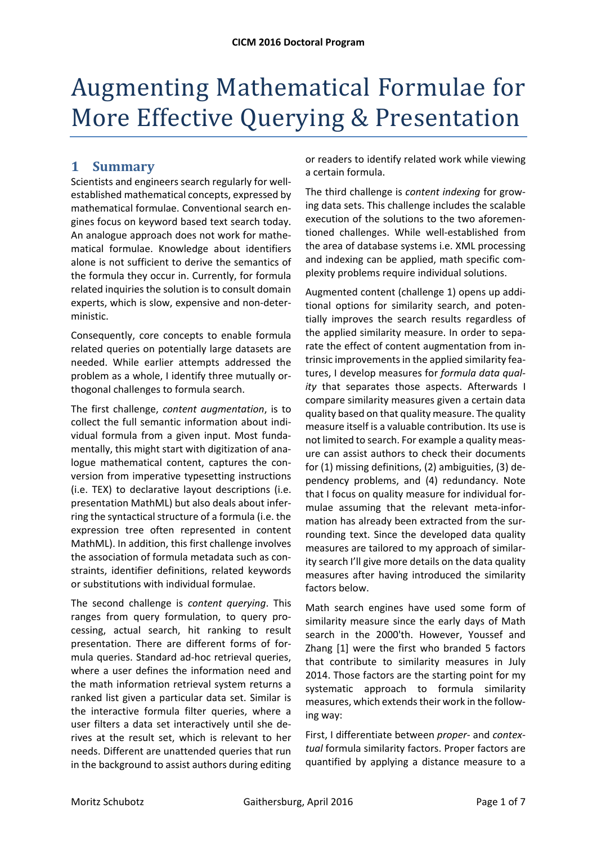## Augmenting Mathematical Formulae for More Effective Querying & Presentation

## **1 Summary**

Scientists and engineers search regularly for well‐ established mathematical concepts, expressed by mathematical formulae. Conventional search en‐ gines focus on keyword based text search today. An analogue approach does not work for mathe‐ matical formulae. Knowledge about identifiers alone is not sufficient to derive the semantics of the formula they occur in. Currently, for formula related inquiries the solution is to consult domain experts, which is slow, expensive and non‐deter‐ ministic.

Consequently, core concepts to enable formula related queries on potentially large datasets are needed. While earlier attempts addressed the problem as a whole, I identify three mutually or‐ thogonal challenges to formula search.

The first challenge, *content augmentation*, is to collect the full semantic information about indi‐ vidual formula from a given input. Most funda‐ mentally, this might start with digitization of ana‐ logue mathematical content, captures the conversion from imperative typesetting instructions (i.e. TEX) to declarative layout descriptions (i.e. presentation MathML) but also deals about infer‐ ring the syntactical structure of a formula (i.e. the expression tree often represented in content MathML). In addition, this first challenge involves the association of formula metadata such as con‐ straints, identifier definitions, related keywords or substitutions with individual formulae.

The second challenge is *content querying*. This ranges from query formulation, to query pro‐ cessing, actual search, hit ranking to result presentation. There are different forms of formula queries. Standard ad‐hoc retrieval queries, where a user defines the information need and the math information retrieval system returns a ranked list given a particular data set. Similar is the interactive formula filter queries, where a user filters a data set interactively until she de‐ rives at the result set, which is relevant to her needs. Different are unattended queries that run in the background to assist authors during editing

or readers to identify related work while viewing a certain formula.

The third challenge is *content indexing* for grow‐ ing data sets. This challenge includes the scalable execution of the solutions to the two aforemen‐ tioned challenges. While well‐established from the area of database systems i.e. XML processing and indexing can be applied, math specific com‐ plexity problems require individual solutions.

Augmented content (challenge 1) opens up addi‐ tional options for similarity search, and poten‐ tially improves the search results regardless of the applied similarity measure. In order to sepa‐ rate the effect of content augmentation from in‐ trinsic improvements in the applied similarity fea‐ tures, I develop measures for *formula data qual‐ ity* that separates those aspects. Afterwards I compare similarity measures given a certain data quality based on that quality measure. The quality measure itself is a valuable contribution. Its use is not limited to search. For example a quality meas‐ ure can assist authors to check their documents for (1) missing definitions, (2) ambiguities, (3) de‐ pendency problems, and (4) redundancy. Note that I focus on quality measure for individual for‐ mulae assuming that the relevant meta-information has already been extracted from the surrounding text. Since the developed data quality measures are tailored to my approach of similar‐ ity search I'll give more details on the data quality measures after having introduced the similarity factors below.

Math search engines have used some form of similarity measure since the early days of Math search in the 2000'th. However, Youssef and Zhang [1] were the first who branded 5 factors that contribute to similarity measures in July 2014. Those factors are the starting point for my systematic approach to formula similarity measures, which extends their work in the follow‐ ing way:

First, I differentiate between *proper*‐ and *contex‐ tual* formula similarity factors. Proper factors are quantified by applying a distance measure to a